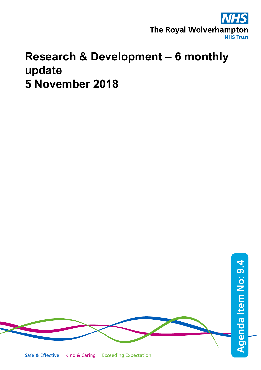

## **Research & Development – 6 monthly update 5 November 2018**

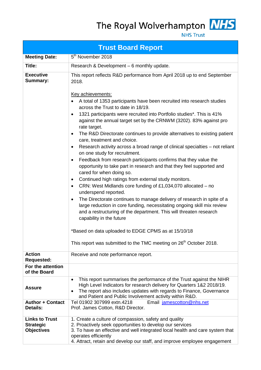The Royal Wolverhampton MHS



**NHS Trust** 

| <b>Trust Board Report</b>                                      |                                                                                                                                                                                                                                                                                                                                                                                                                                                                                                                                                                                                                                                                                                                                                                                                                                                                                                                                                                                                                                                                                                                                                                                                                                                                                                                                                                                                                                             |  |  |  |  |  |  |
|----------------------------------------------------------------|---------------------------------------------------------------------------------------------------------------------------------------------------------------------------------------------------------------------------------------------------------------------------------------------------------------------------------------------------------------------------------------------------------------------------------------------------------------------------------------------------------------------------------------------------------------------------------------------------------------------------------------------------------------------------------------------------------------------------------------------------------------------------------------------------------------------------------------------------------------------------------------------------------------------------------------------------------------------------------------------------------------------------------------------------------------------------------------------------------------------------------------------------------------------------------------------------------------------------------------------------------------------------------------------------------------------------------------------------------------------------------------------------------------------------------------------|--|--|--|--|--|--|
| <b>Meeting Date:</b>                                           | 5 <sup>th</sup> November 2018                                                                                                                                                                                                                                                                                                                                                                                                                                                                                                                                                                                                                                                                                                                                                                                                                                                                                                                                                                                                                                                                                                                                                                                                                                                                                                                                                                                                               |  |  |  |  |  |  |
| Title:                                                         | Research & Development - 6 monthly update.                                                                                                                                                                                                                                                                                                                                                                                                                                                                                                                                                                                                                                                                                                                                                                                                                                                                                                                                                                                                                                                                                                                                                                                                                                                                                                                                                                                                  |  |  |  |  |  |  |
| <b>Executive</b><br><b>Summary:</b>                            | This report reflects R&D performance from April 2018 up to end September<br>2018.<br>Key achievements:<br>A total of 1353 participants have been recruited into research studies<br>$\bullet$<br>across the Trust to date in 18/19.<br>1321 participants were recruited into Portfolio studies*. This is 41%<br>$\bullet$<br>against the annual target set by the CRNWM (3202). 83% against pro<br>rate target.<br>The R&D Directorate continues to provide alternatives to existing patient<br>$\bullet$<br>care, treatment and choice.<br>Research activity across a broad range of clinical specialties – not reliant<br>$\bullet$<br>on one study for recruitment.<br>Feedback from research participants confirms that they value the<br>$\bullet$<br>opportunity to take part in research and that they feel supported and<br>cared for when doing so.<br>Continued high ratings from external study monitors.<br>٠<br>CRN: West Midlands core funding of £1,034,070 allocated – no<br>$\bullet$<br>underspend reported.<br>The Directorate continues to manage delivery of research in spite of a<br>$\bullet$<br>large reduction in core funding, necessitating ongoing skill mix review<br>and a restructuring of the department. This will threaten research<br>capability in the future<br>*Based on data uploaded to EDGE CPMS as at 15/10/18<br>This report was submitted to the TMC meeting on 26 <sup>th</sup> October 2018. |  |  |  |  |  |  |
| <b>Action</b><br><b>Requested:</b>                             | Receive and note performance report.                                                                                                                                                                                                                                                                                                                                                                                                                                                                                                                                                                                                                                                                                                                                                                                                                                                                                                                                                                                                                                                                                                                                                                                                                                                                                                                                                                                                        |  |  |  |  |  |  |
| For the attention<br>of the Board                              |                                                                                                                                                                                                                                                                                                                                                                                                                                                                                                                                                                                                                                                                                                                                                                                                                                                                                                                                                                                                                                                                                                                                                                                                                                                                                                                                                                                                                                             |  |  |  |  |  |  |
| <b>Assure</b><br><b>Author + Contact</b>                       | This report summarises the performance of the Trust against the NIHR<br>$\bullet$<br>High Level Indicators for research delivery for Quarters 1&2 2018/19.<br>The report also includes updates with regards to Finance, Governance<br>$\bullet$<br>and Patient and Public Involvement activity within R&D.                                                                                                                                                                                                                                                                                                                                                                                                                                                                                                                                                                                                                                                                                                                                                                                                                                                                                                                                                                                                                                                                                                                                  |  |  |  |  |  |  |
| Details:                                                       | Email jamescotton@nhs.net<br>Tel 01902 307999 extn.4218<br>Prof. James Cotton, R&D Director.                                                                                                                                                                                                                                                                                                                                                                                                                                                                                                                                                                                                                                                                                                                                                                                                                                                                                                                                                                                                                                                                                                                                                                                                                                                                                                                                                |  |  |  |  |  |  |
| <b>Links to Trust</b><br><b>Strategic</b><br><b>Objectives</b> | 1. Create a culture of compassion, safety and quality<br>2. Proactively seek opportunities to develop our services<br>3. To have an effective and well integrated local health and care system that<br>operates efficiently<br>4. Attract, retain and develop our staff, and improve employee engagement                                                                                                                                                                                                                                                                                                                                                                                                                                                                                                                                                                                                                                                                                                                                                                                                                                                                                                                                                                                                                                                                                                                                    |  |  |  |  |  |  |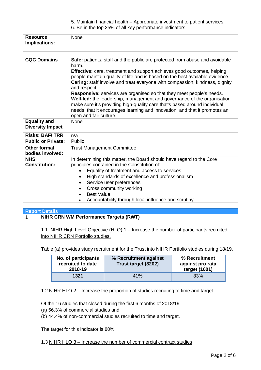|                                                   | 5. Maintain financial health – Appropriate investment to patient services<br>6. Be in the top 25% of all key performance indicators                                                                                                                                                                                                                                                                                                                                                                                                                                                                                                                                                          |  |  |  |  |
|---------------------------------------------------|----------------------------------------------------------------------------------------------------------------------------------------------------------------------------------------------------------------------------------------------------------------------------------------------------------------------------------------------------------------------------------------------------------------------------------------------------------------------------------------------------------------------------------------------------------------------------------------------------------------------------------------------------------------------------------------------|--|--|--|--|
| <b>Resource</b><br><b>Implications:</b>           | None                                                                                                                                                                                                                                                                                                                                                                                                                                                                                                                                                                                                                                                                                         |  |  |  |  |
|                                                   |                                                                                                                                                                                                                                                                                                                                                                                                                                                                                                                                                                                                                                                                                              |  |  |  |  |
| <b>CQC Domains</b>                                | Safe: patients, staff and the public are protected from abuse and avoidable<br>harm.<br><b>Effective:</b> care, treatment and support achieves good outcomes, helping<br>people maintain quality of life and is based on the best available evidence.<br>Caring: staff involve and treat everyone with compassion, kindness, dignity<br>and respect.<br>Responsive: services are organised so that they meet people's needs.<br>Well-led: the leadership, management and governance of the organisation<br>make sure it's providing high-quality care that's based around individual<br>needs, that it encourages learning and innovation, and that it promotes an<br>open and fair culture. |  |  |  |  |
| <b>Equality and</b><br><b>Diversity Impact</b>    | <b>None</b>                                                                                                                                                                                                                                                                                                                                                                                                                                                                                                                                                                                                                                                                                  |  |  |  |  |
| <b>Risks: BAF/TRR</b>                             | n/a                                                                                                                                                                                                                                                                                                                                                                                                                                                                                                                                                                                                                                                                                          |  |  |  |  |
| <b>Public or Private:</b>                         | Public                                                                                                                                                                                                                                                                                                                                                                                                                                                                                                                                                                                                                                                                                       |  |  |  |  |
| <b>Other formal</b><br>bodies involved:           | <b>Trust Management Committee</b>                                                                                                                                                                                                                                                                                                                                                                                                                                                                                                                                                                                                                                                            |  |  |  |  |
| <b>NHS</b><br><b>Constitution:</b>                | In determining this matter, the Board should have regard to the Core<br>principles contained in the Constitution of:<br>Equality of treatment and access to services<br>High standards of excellence and professionalism<br>$\bullet$<br>Service user preferences<br>Cross community working<br><b>Best Value</b><br>$\bullet$<br>Accountability through local influence and scrutiny                                                                                                                                                                                                                                                                                                        |  |  |  |  |
| <b>Report Details</b>                             |                                                                                                                                                                                                                                                                                                                                                                                                                                                                                                                                                                                                                                                                                              |  |  |  |  |
| <b>NIHR CRN WM Performance Targets (RWT)</b><br>1 |                                                                                                                                                                                                                                                                                                                                                                                                                                                                                                                                                                                                                                                                                              |  |  |  |  |

1.1 NIHR High Level Objective (HLO) 1 – Increase the number of participants recruited into NIHR CRN Portfolio studies.

Table (a) provides study recruitment for the Trust into NIHR Portfolio studies during 18/19.

| No. of participants<br>recruited to date<br>2018-19 | % Recruitment against<br>Trust target (3202) | % Recruitment<br>against pro rata<br>target (1601) |  |  |  |
|-----------------------------------------------------|----------------------------------------------|----------------------------------------------------|--|--|--|
| 1321                                                | 41%                                          | 83%                                                |  |  |  |

1.2 NIHR HLO 2 – Increase the proportion of studies recruiting to time and target.

Of the 16 studies that closed during the first 6 months of 2018/19:

(a) 56.3% of commercial studies and

(b) 44.4% of non-commercial studies recruited to time and target.

The target for this indicator is 80%.

1.3 NIHR HLO 3 – Increase the number of commercial contract studies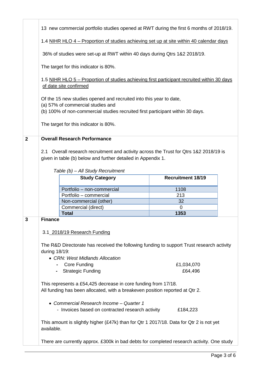|                | 13 new commercial portfolio studies opened at RWT during the first 6 months of 2018/19.                                                                                                   |                                                                                                                                                        |                          |  |  |  |  |  |
|----------------|-------------------------------------------------------------------------------------------------------------------------------------------------------------------------------------------|--------------------------------------------------------------------------------------------------------------------------------------------------------|--------------------------|--|--|--|--|--|
|                | 1.4 NIHR HLO 4 – Proportion of studies achieving set up at site within 40 calendar days                                                                                                   |                                                                                                                                                        |                          |  |  |  |  |  |
|                | 36% of studies were set-up at RWT within 40 days during Qtrs 1&2 2018/19.                                                                                                                 |                                                                                                                                                        |                          |  |  |  |  |  |
|                | The target for this indicator is 80%.                                                                                                                                                     |                                                                                                                                                        |                          |  |  |  |  |  |
|                | 1.5 NIHR HLO 5 – Proportion of studies achieving first participant recruited within 30 days<br>of date site confirmed                                                                     |                                                                                                                                                        |                          |  |  |  |  |  |
|                | Of the 15 new studies opened and recruited into this year to date,<br>(a) 57% of commercial studies and<br>(b) 100% of non-commercial studies recruited first participant within 30 days. |                                                                                                                                                        |                          |  |  |  |  |  |
|                |                                                                                                                                                                                           | The target for this indicator is 80%.                                                                                                                  |                          |  |  |  |  |  |
| $\overline{2}$ |                                                                                                                                                                                           | <b>Overall Research Performance</b>                                                                                                                    |                          |  |  |  |  |  |
|                |                                                                                                                                                                                           | 2.1 Overall research recruitment and activity across the Trust for Qtrs 1&2 2018/19 is<br>given in table (b) below and further detailed in Appendix 1. |                          |  |  |  |  |  |
|                |                                                                                                                                                                                           | Table (b) - All Study Recruitment                                                                                                                      |                          |  |  |  |  |  |
|                |                                                                                                                                                                                           | <b>Study Category</b>                                                                                                                                  | <b>Recruitment 18/19</b> |  |  |  |  |  |
|                |                                                                                                                                                                                           | Portfolio - non-commercial                                                                                                                             | 1108                     |  |  |  |  |  |
|                |                                                                                                                                                                                           |                                                                                                                                                        |                          |  |  |  |  |  |
|                |                                                                                                                                                                                           | Portfolio - commercial                                                                                                                                 | 213                      |  |  |  |  |  |
|                |                                                                                                                                                                                           | Non-commercial (other)                                                                                                                                 | 32                       |  |  |  |  |  |
|                |                                                                                                                                                                                           | Commercial (direct)                                                                                                                                    | $\mathbf 0$              |  |  |  |  |  |
|                |                                                                                                                                                                                           | <b>Total</b>                                                                                                                                           | 1353                     |  |  |  |  |  |
| 3              | <b>Finance</b>                                                                                                                                                                            |                                                                                                                                                        |                          |  |  |  |  |  |
|                |                                                                                                                                                                                           | 3.1_2018/19 Research Funding                                                                                                                           |                          |  |  |  |  |  |
|                |                                                                                                                                                                                           | The R&D Directorate has received the following funding to support Trust research activity                                                              |                          |  |  |  |  |  |
|                | during 18/19:                                                                                                                                                                             |                                                                                                                                                        |                          |  |  |  |  |  |
|                |                                                                                                                                                                                           | • CRN: West Midlands Allocation                                                                                                                        |                          |  |  |  |  |  |
|                |                                                                                                                                                                                           | <b>Core Funding</b>                                                                                                                                    | £1,034,070               |  |  |  |  |  |
|                |                                                                                                                                                                                           | <b>Strategic Funding</b>                                                                                                                               | £64,496                  |  |  |  |  |  |
|                |                                                                                                                                                                                           | This represents a £54,425 decrease in core funding from 17/18.<br>All funding has been allocated, with a breakeven position reported at Qtr 2.         |                          |  |  |  |  |  |
|                |                                                                                                                                                                                           |                                                                                                                                                        |                          |  |  |  |  |  |
|                |                                                                                                                                                                                           | • Commercial Research Income - Quarter 1<br>- Invoices based on contracted research activity                                                           | £184,223                 |  |  |  |  |  |
|                | available.                                                                                                                                                                                | This amount is slightly higher (£47k) than for Qtr 1 2017/18. Data for Qtr 2 is not yet                                                                |                          |  |  |  |  |  |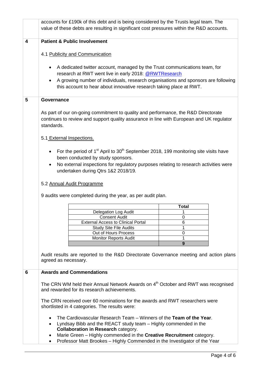|   | accounts for £190k of this debt and is being considered by the Trusts legal team. The<br>value of these debts are resulting in significant cost pressures within the R&D accounts.                           |  |  |  |  |  |  |  |
|---|--------------------------------------------------------------------------------------------------------------------------------------------------------------------------------------------------------------|--|--|--|--|--|--|--|
| 4 | <b>Patient &amp; Public Involvement</b>                                                                                                                                                                      |  |  |  |  |  |  |  |
|   | 4.1 Publicity and Communication                                                                                                                                                                              |  |  |  |  |  |  |  |
|   | A dedicated twitter account, managed by the Trust communications team, for<br>$\bullet$<br>research at RWT went live in early 2018: @RWTResearch                                                             |  |  |  |  |  |  |  |
|   | A growing number of individuals, research organisations and sponsors are following<br>$\bullet$<br>this account to hear about innovative research taking place at RWT.                                       |  |  |  |  |  |  |  |
| 5 | Governance                                                                                                                                                                                                   |  |  |  |  |  |  |  |
|   | As part of our on-going commitment to quality and performance, the R&D Directorate<br>continues to review and support quality assurance in line with European and UK regulator<br>standards.                 |  |  |  |  |  |  |  |
|   | 5.1 External Inspections.                                                                                                                                                                                    |  |  |  |  |  |  |  |
|   | For the period of 1 <sup>st</sup> April to 30 <sup>th</sup> September 2018, 199 monitoring site visits have<br>$\bullet$                                                                                     |  |  |  |  |  |  |  |
|   | been conducted by study sponsors.<br>No external inspections for regulatory purposes relating to research activities were<br>٠                                                                               |  |  |  |  |  |  |  |
|   | undertaken during Qtrs 1&2 2018/19.                                                                                                                                                                          |  |  |  |  |  |  |  |
|   | 5.2 Annual Audit Programme                                                                                                                                                                                   |  |  |  |  |  |  |  |
|   | 9 audits were completed during the year, as per audit plan.                                                                                                                                                  |  |  |  |  |  |  |  |
|   | <b>Total</b>                                                                                                                                                                                                 |  |  |  |  |  |  |  |
|   | Delegation Log Audit<br>1                                                                                                                                                                                    |  |  |  |  |  |  |  |
|   | Consent Audit<br>0                                                                                                                                                                                           |  |  |  |  |  |  |  |
|   | <b>External Access to Clinical Portal</b><br>6<br>1<br><b>Study Site File Audits</b>                                                                                                                         |  |  |  |  |  |  |  |
|   | Out of Hours Process<br>0                                                                                                                                                                                    |  |  |  |  |  |  |  |
|   | 1<br><b>Monitor Reports Audit</b>                                                                                                                                                                            |  |  |  |  |  |  |  |
|   | 9                                                                                                                                                                                                            |  |  |  |  |  |  |  |
|   | Audit results are reported to the R&D Directorate Governance meeting and action plans<br>agreed as necessary.                                                                                                |  |  |  |  |  |  |  |
| 6 | <b>Awards and Commendations</b>                                                                                                                                                                              |  |  |  |  |  |  |  |
|   | The CRN WM held their Annual Network Awards on 4 <sup>th</sup> October and RWT was recognised<br>and rewarded for its research achievements.                                                                 |  |  |  |  |  |  |  |
|   | The CRN received over 60 nominations for the awards and RWT researchers were<br>shortlisted in 4 categories. The results were:                                                                               |  |  |  |  |  |  |  |
|   | The Cardiovascular Research Team – Winners of the Team of the Year.<br>Lyndsay Bibb and the REACT study team - Highly commended in the                                                                       |  |  |  |  |  |  |  |
|   | <b>Collaboration in Research category.</b><br>Marie Green - Highly commended in the Creative Recruitment category.<br>$\bullet$<br>Professor Matt Brookes - Highly Commended in the Investigator of the Year |  |  |  |  |  |  |  |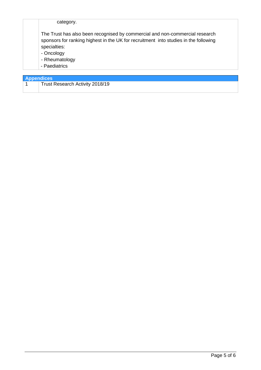| category.                                                                                                                                                                                                                             |
|---------------------------------------------------------------------------------------------------------------------------------------------------------------------------------------------------------------------------------------|
| The Trust has also been recognised by commercial and non-commercial research<br>sponsors for ranking highest in the UK for recruitment into studies in the following<br>specialties:<br>- Oncology<br>- Rheumatology<br>- Paediatrics |

| <b>Appendices</b> |                                 |  |  |  |  |
|-------------------|---------------------------------|--|--|--|--|
|                   | Trust Research Activity 2018/19 |  |  |  |  |